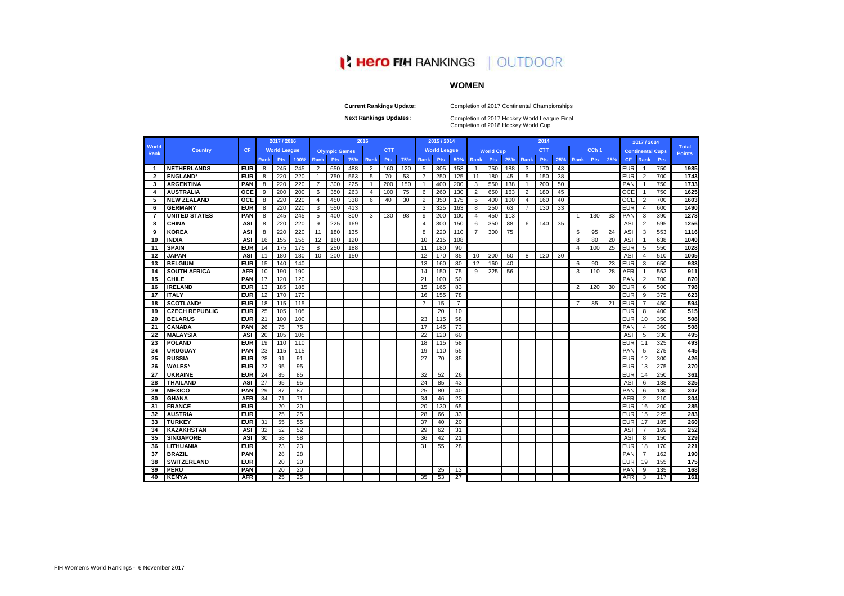|                      |                       |            |             | 2017 / 2016         |      |                |                      |     | 2016        |            |     |      | 2015 / 2014         |                 |                |                  |     |                | 2014       |     |                |                  |     |            | 2017 / 2014    |                         |                               |
|----------------------|-----------------------|------------|-------------|---------------------|------|----------------|----------------------|-----|-------------|------------|-----|------|---------------------|-----------------|----------------|------------------|-----|----------------|------------|-----|----------------|------------------|-----|------------|----------------|-------------------------|-------------------------------|
| <b>World</b><br>Rank | <b>Country</b>        | <b>CF</b>  |             | <b>World League</b> |      |                | <b>Olympic Games</b> |     |             | <b>CTT</b> |     |      | <b>World League</b> |                 |                | <b>World Cup</b> |     |                | <b>CTT</b> |     |                | CCh <sub>1</sub> |     |            |                | <b>Continental Cups</b> | <b>Total</b><br><b>Points</b> |
|                      |                       |            | <b>Rank</b> | <b>Pts</b>          | 100% | Rank           | Pts                  | 75% | <b>Rank</b> | <b>Pts</b> | 75% | Rank | <b>Pts</b>          | 50%             | <b>Rank</b>    | Pts              | 25% | Rank           | <b>Pts</b> | 25% | Rank           | <b>Pts</b>       | 25% | <b>CF</b>  | Rank           | <b>Pts</b>              |                               |
| $\blacksquare$       | <b>NETHERLANDS</b>    | <b>EUR</b> | 8           | 245                 | 245  | $\overline{2}$ | 650                  | 488 | 2           | 160        | 120 | 5    | 305                 | 153             | -1             | 750              | 188 | 3              | 170        | 43  |                |                  |     | <b>EUR</b> | $\overline{1}$ | 750                     | 1985                          |
| $\overline{2}$       | <b>ENGLAND</b> *      | <b>EUR</b> | 8           | 220                 | 220  | $\overline{1}$ | 750                  | 563 | 5           | 70         | 53  | 7    | 250                 | 125             | 11             | 180              | 45  | 5              | 150        | 38  |                |                  |     | <b>EUR</b> | $\overline{2}$ | 700                     | 1743                          |
| 3                    | <b>ARGENTINA</b>      | <b>PAN</b> | 8           | 220                 | 220  | $\overline{7}$ | 300                  | 225 | -1          | 200        | 150 | -1   | 400                 | 200             | 3              | 550              | 138 | -1             | 200        | 50  |                |                  |     | <b>PAN</b> | $\overline{1}$ | 750                     | 1733                          |
| 4                    | AUSTRALIA             | <b>OCE</b> | 9           | 200                 | 200  | 6              | 350                  | 263 | 4           | 100        | 75  | 6    | 260                 | 130             | 2              | 650              | 163 | 2              | 180        | 45  |                |                  |     | <b>OCE</b> | $\overline{1}$ | 750                     | 1625                          |
| -5                   | <b>NEW ZEALAND</b>    | <b>OCE</b> | 8           | 220                 | 220  | 4              | 450                  | 338 | 6           | 40         | 30  | 2    | 350                 | 175             | 5              | 400              | 100 | $\overline{4}$ | 160        | 40  |                |                  |     | OCE        | $\overline{2}$ | 700                     | 1603                          |
| 6                    | <b>GERMANY</b>        | <b>EUR</b> | 8           | 220                 | 220  | 3              | 550                  | 413 |             |            |     | 3    | 325                 | 163             | 8              | 250              | 63  | 7              | 130        | 33  |                |                  |     | <b>EUR</b> | -4             | 600                     | 1490                          |
| -7                   | <b>UNITED STATES</b>  | PAN        | 8           | 245                 | 245  | 5              | 400                  | 300 | 3           | 130        | 98  | 9    | 200                 | 100             | 4              | 450              | 113 |                |            |     | -1             | 130              | 33  | <b>PAN</b> | 3              | 390                     | 1278                          |
| 8                    | <b>CHINA</b>          | <b>ASI</b> | 8           | 220                 | 220  | 9              | 225                  | 169 |             |            |     | 4    | 300                 | 150             | 6              | 350              | 88  | 6              | 140        | 35  |                |                  |     | <b>ASI</b> | $\overline{2}$ | 595                     | 1256                          |
| 9                    | <b>KOREA</b>          | <b>ASI</b> | 8           | 220                 | 220  | 11             | 180                  | 135 |             |            |     | 8    | 220                 | 110             | $\overline{7}$ | 300              | 75  |                |            |     | 5              | 95               | 24  | ASI        | 3              | 553                     | 1116                          |
| 10                   | <b>INDIA</b>          | <b>ASI</b> | 16          | 155                 | 155  | 12             | 160                  | 120 |             |            |     | 10   | 215                 | 108             |                |                  |     |                |            |     | 8              | 80               | 20  | <b>ASI</b> | $\overline{1}$ | 638                     | 1040                          |
| 11                   | <b>SPAIN</b>          | <b>EUR</b> | 14          | 175                 | 175  | 8              | 250                  | 188 |             |            |     | 11   | 180                 | 90              |                |                  |     |                |            |     | 4              | 100              | 25  | <b>EUR</b> | 5              | 550                     | 1028                          |
| 12                   | <b>JAPAN</b>          | <b>ASI</b> | 11          | 180                 | 180  | 10             | 200                  | 150 |             |            |     | 12   | 170                 | 85              | 10             | 200              | 50  | 8              | 120        | 30  |                |                  |     | <b>ASI</b> | $\overline{4}$ | 510                     | 1005                          |
| 13                   | <b>BELGIUM</b>        | <b>EUR</b> | 15          | 140                 | 140  |                |                      |     |             |            |     | 13   | 160                 | 80              | 12             | 160              | 40  |                |            |     | 6              | 90               | 23  | <b>EUR</b> | 3              | 650                     | 933                           |
| 14                   | <b>SOUTH AFRICA</b>   | <b>AFR</b> | 10          | 190                 | 190  |                |                      |     |             |            |     | 14   | 150                 | 75              | 9              | 225              | 56  |                |            |     | 3              | 110              | 28  | <b>AFR</b> | $\overline{1}$ | 563                     | 911                           |
| 15                   | <b>CHILE</b>          | <b>PAN</b> | 17          | 120                 | 120  |                |                      |     |             |            |     | 21   | 100                 | 50              |                |                  |     |                |            |     |                |                  |     | <b>PAN</b> | $\overline{2}$ | 700                     | 870                           |
| 16                   | <b>IRELAND</b>        | <b>EUR</b> | 13          | 185                 | 185  |                |                      |     |             |            |     | 15   | 165                 | 83              |                |                  |     |                |            |     | $\overline{2}$ | 120              | 30  | <b>EUR</b> | 6              | 500                     | 798                           |
| 17                   | <b>ITALY</b>          | <b>EUR</b> | 12          | 170                 | 170  |                |                      |     |             |            |     | 16   | 155                 | 78              |                |                  |     |                |            |     |                |                  |     | <b>EUR</b> | 9              | 375                     | 623                           |
| 18                   | <b>SCOTLAND*</b>      | <b>EUR</b> | 18          | 115                 | 115  |                |                      |     |             |            |     | 7    | 15                  | $\overline{7}$  |                |                  |     |                |            |     | 7              | 85               | 21  | <b>EUR</b> | $\overline{7}$ | 450                     | 594                           |
| 19                   | <b>CZECH REPUBLIC</b> | <b>EUR</b> | 25          | 105                 | 105  |                |                      |     |             |            |     |      | 20                  | 10              |                |                  |     |                |            |     |                |                  |     | <b>EUR</b> | 8              | 400                     | 515                           |
| 20                   | <b>BELARUS</b>        | <b>EUR</b> | 21          | 100                 | 100  |                |                      |     |             |            |     | 23   | 115                 | 58              |                |                  |     |                |            |     |                |                  |     | <b>EUR</b> | 10             | 350                     | 508                           |
| 21                   | <b>CANADA</b>         | PAN        | 26          | $\overline{75}$     | 75   |                |                      |     |             |            |     | 17   | 145                 | $\overline{73}$ |                |                  |     |                |            |     |                |                  |     | PAN        | $\overline{4}$ | 360                     | 508                           |
| 22                   | <b>MALAYSIA</b>       | <b>ASI</b> | 20          | 105                 | 105  |                |                      |     |             |            |     | 22   | 120                 | 60              |                |                  |     |                |            |     |                |                  |     | <b>ASI</b> | 5              | 330                     | 495                           |
| 23                   | <b>POLAND</b>         | <b>EUR</b> | 19          | 110                 | 110  |                |                      |     |             |            |     | 18   | 115                 | 58              |                |                  |     |                |            |     |                |                  |     | <b>EUR</b> | 11             | 325                     | 493                           |
| 24                   | <b>URUGUAY</b>        | <b>PAN</b> | 23          | 115                 | 115  |                |                      |     |             |            |     | 19   | 110                 | 55              |                |                  |     |                |            |     |                |                  |     | PAN        | 5              | 275                     | 445                           |
| 25                   | <b>RUSSIA</b>         | <b>EUR</b> | 28          | 91                  | 91   |                |                      |     |             |            |     | 27   | 70                  | 35              |                |                  |     |                |            |     |                |                  |     | <b>EUR</b> | 12             | 300                     | 426                           |
| 26                   | <b>WALES*</b>         | <b>EUR</b> | 22          | 95                  | 95   |                |                      |     |             |            |     |      |                     |                 |                |                  |     |                |            |     |                |                  |     | <b>EUR</b> | 13             | 275                     | 370                           |
| 27                   | <b>UKRAINE</b>        | <b>EUR</b> | 24          | 85                  | 85   |                |                      |     |             |            |     | 32   | 52                  | 26              |                |                  |     |                |            |     |                |                  |     | <b>EUR</b> | 14             | 250                     | 361                           |
| 28                   | <b>THAILAND</b>       | <b>ASI</b> | 27          | 95                  | 95   |                |                      |     |             |            |     | 24   | 85                  | 43              |                |                  |     |                |            |     |                |                  |     | ASI        | 6              | 188                     | 325                           |
| 29                   | <b>MEXICO</b>         | <b>PAN</b> | 29          | 87                  | 87   |                |                      |     |             |            |     | 25   | 80                  | 40              |                |                  |     |                |            |     |                |                  |     | <b>PAN</b> | 6              | 180                     | 307                           |
| 30                   | <b>GHANA</b>          | <b>AFR</b> | 34          | 71                  | 71   |                |                      |     |             |            |     | 34   | 46                  | 23              |                |                  |     |                |            |     |                |                  |     | <b>AFR</b> | $\overline{2}$ | 210                     | 304                           |
| 31                   | <b>FRANCE</b>         | <b>EUR</b> |             | 20                  | 20   |                |                      |     |             |            |     | 20   | 130                 | 65              |                |                  |     |                |            |     |                |                  |     | <b>EUR</b> | 16             | 200                     | 285                           |
| 32                   | AUSTRIA               | <b>EUR</b> |             | 25                  | 25   |                |                      |     |             |            |     | 28   | 66                  | 33              |                |                  |     |                |            |     |                |                  |     | <b>EUR</b> | 15             | 225                     | 283                           |
| 33                   | <b>TURKEY</b>         | <b>EUR</b> | 31          | 55                  | 55   |                |                      |     |             |            |     | 37   | 40                  | 20              |                |                  |     |                |            |     |                |                  |     | <b>EUR</b> | 17             | 185                     | 260                           |
| 34                   | <b>KAZAKHSTAN</b>     | <b>ASI</b> | 32          | 52                  | 52   |                |                      |     |             |            |     | 29   | 62                  | 31              |                |                  |     |                |            |     |                |                  |     | ASI        | $\overline{7}$ | 169                     | 252                           |
| 35                   | <b>SINGAPORE</b>      | <b>ASI</b> | 30          | 58                  | 58   |                |                      |     |             |            |     | 36   | 42                  | 21              |                |                  |     |                |            |     |                |                  |     | ASI        | 8              | 150                     | 229                           |
| 36                   | <b>LITHUANIA</b>      | <b>EUR</b> |             | 23                  | 23   |                |                      |     |             |            |     | 31   | 55                  | 28              |                |                  |     |                |            |     |                |                  |     | <b>EUR</b> | 18             | 170                     | 221                           |
| 37                   | <b>BRAZIL</b>         | <b>PAN</b> |             | 28                  | 28   |                |                      |     |             |            |     |      |                     |                 |                |                  |     |                |            |     |                |                  |     | PAN        | $\overline{7}$ | 162                     | 190                           |
| 38                   | <b>SWITZERLAND</b>    | <b>EUR</b> |             | 20                  | 20   |                |                      |     |             |            |     |      |                     |                 |                |                  |     |                |            |     |                |                  |     | <b>EUR</b> | 19             | 155                     | 175                           |
| 39                   | <b>PERU</b>           | <b>PAN</b> |             | 20                  | 20   |                |                      |     |             |            |     |      | 25                  | 13              |                |                  |     |                |            |     |                |                  |     | PAN        | 9              | 135                     | 168                           |
| 40                   | <b>KENYA</b>          | <b>AFR</b> |             | 25                  | 25   |                |                      |     |             |            |     | 35   | 53                  | 27              |                |                  |     |                |            |     |                |                  |     | <b>AFR</b> | 3              | 117                     | 161                           |

Completion of 2018 Hockey World Cup **Next Rankings Updates: Completion of 2017 Hockey World League Final** 

**Current Rankings Update:**

Completion of 2017 Continental Championships

# **IN HERO FIM RANKINGS | OUTDOOR**

# **WOMEN**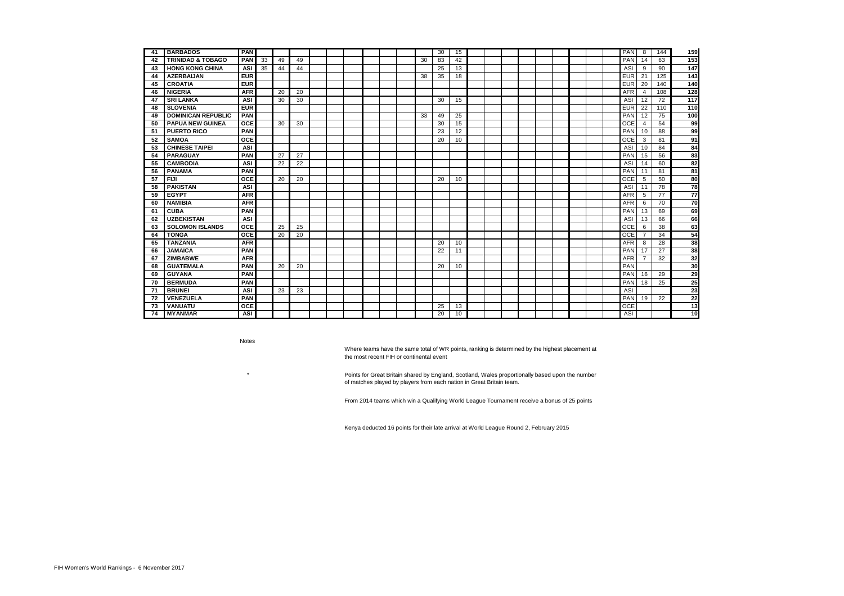| -41 | <b>BARBADOS</b>              | <b>PAN</b> |    |    |    |  |  |  |    | 30 | 15 |  |  |  |  | <b>PAN</b> | 8              | 144 | 159              |
|-----|------------------------------|------------|----|----|----|--|--|--|----|----|----|--|--|--|--|------------|----------------|-----|------------------|
| 42  | <b>TRINIDAD &amp; TOBAGO</b> | <b>PAN</b> | 33 | 49 | 49 |  |  |  | 30 | 83 | 42 |  |  |  |  | PAN        | 14             | 63  | 153              |
| 43  | <b>HONG KONG CHINA</b>       | <b>ASI</b> | 35 | 44 | 44 |  |  |  |    | 25 | 13 |  |  |  |  | ASI        | 9              | 90  | 147              |
| 44  | <b>AZERBAIJAN</b>            | <b>EUR</b> |    |    |    |  |  |  | 38 | 35 | 18 |  |  |  |  | <b>EUR</b> | 21             | 125 | $\overline{143}$ |
| 45  | <b>CROATIA</b>               | <b>EUR</b> |    |    |    |  |  |  |    |    |    |  |  |  |  | <b>EUR</b> | 20             | 140 | 140              |
| 46  | <b>NIGERIA</b>               | <b>AFR</b> |    | 20 | 20 |  |  |  |    |    |    |  |  |  |  | <b>AFR</b> | 4              | 108 | 128              |
| 47  | <b>SRI LANKA</b>             | <b>ASI</b> |    | 30 | 30 |  |  |  |    | 30 | 15 |  |  |  |  | ASI        | 12             | 72  | 117              |
| 48  | <b>SLOVENIA</b>              | <b>EUR</b> |    |    |    |  |  |  |    |    |    |  |  |  |  | <b>EUR</b> | 22             | 110 | 110              |
| 49  | <b>DOMINICAN REPUBLIC</b>    | <b>PAN</b> |    |    |    |  |  |  | 33 | 49 | 25 |  |  |  |  | PAN        | 12             | 75  | 100              |
| 50  | <b>PAPUA NEW GUINEA</b>      | <b>OCE</b> |    | 30 | 30 |  |  |  |    | 30 | 15 |  |  |  |  | <b>OCE</b> | $\overline{4}$ | 54  | 99               |
| -51 | <b>PUERTO RICO</b>           | <b>PAN</b> |    |    |    |  |  |  |    | 23 | 12 |  |  |  |  | PAN        | 10             | 88  | 99               |
| 52  | <b>SAMOA</b>                 | <b>OCE</b> |    |    |    |  |  |  |    | 20 | 10 |  |  |  |  | <b>OCE</b> | 3              | 81  | 91               |
| 53  | <b>CHINESE TAIPEI</b>        | <b>ASI</b> |    |    |    |  |  |  |    |    |    |  |  |  |  | ASI        | 10             | 84  | 84               |
| 54  | <b>PARAGUAY</b>              | <b>PAN</b> |    | 27 | 27 |  |  |  |    |    |    |  |  |  |  | PAN        | 15             | 56  | 83               |
| 55  | <b>CAMBODIA</b>              | <b>ASI</b> |    | 22 | 22 |  |  |  |    |    |    |  |  |  |  | ASI        | 14             | 60  | 82               |
| 56  | <b>PANAMA</b>                | <b>PAN</b> |    |    |    |  |  |  |    |    |    |  |  |  |  | PAN        | 11             | 81  | 81               |
| 57  | <b>FIJI</b>                  | <b>OCE</b> |    | 20 | 20 |  |  |  |    | 20 | 10 |  |  |  |  | <b>OCE</b> | 5              | 50  | 80               |
| 58  | <b>PAKISTAN</b>              | <b>ASI</b> |    |    |    |  |  |  |    |    |    |  |  |  |  | ASI        | 11             | 78  | 78               |
| 59  | <b>EGYPT</b>                 | <b>AFR</b> |    |    |    |  |  |  |    |    |    |  |  |  |  | <b>AFR</b> | 5              | 77  | 77               |
| 60  | <b>NAMIBIA</b>               | <b>AFR</b> |    |    |    |  |  |  |    |    |    |  |  |  |  | <b>AFR</b> | 6              | 70  | 70               |
| 61  | <b>CUBA</b>                  | <b>PAN</b> |    |    |    |  |  |  |    |    |    |  |  |  |  | PAN        | 13             | 69  | 69               |
| 62  | <b>UZBEKISTAN</b>            | <b>ASI</b> |    |    |    |  |  |  |    |    |    |  |  |  |  | ASI        | 13             | 66  | 66               |
| 63  | <b>SOLOMON ISLANDS</b>       | <b>OCE</b> |    | 25 | 25 |  |  |  |    |    |    |  |  |  |  | <b>OCE</b> | 6              | 38  | 63               |
| 64  | <b>TONGA</b>                 | <b>OCE</b> |    | 20 | 20 |  |  |  |    |    |    |  |  |  |  | <b>OCE</b> | 7              | 34  | 54               |
| 65  | <b>TANZANIA</b>              | <b>AFR</b> |    |    |    |  |  |  |    | 20 | 10 |  |  |  |  | <b>AFR</b> | 8              | 28  | 38               |
| 66  | <b>JAMAICA</b>               | <b>PAN</b> |    |    |    |  |  |  |    | 22 | 11 |  |  |  |  | PAN        | 17             | 27  | 38               |
| 67  | <b>ZIMBABWE</b>              | <b>AFR</b> |    |    |    |  |  |  |    |    |    |  |  |  |  | <b>AFR</b> | $\overline{7}$ | 32  | 32               |
| 68  | <b>GUATEMALA</b>             | <b>PAN</b> |    | 20 | 20 |  |  |  |    | 20 | 10 |  |  |  |  | PAN        |                |     | 30               |
| 69  | <b>GUYANA</b>                | <b>PAN</b> |    |    |    |  |  |  |    |    |    |  |  |  |  | PAN        | 16             | 29  | 29               |
| 70  | <b>BERMUDA</b>               | <b>PAN</b> |    |    |    |  |  |  |    |    |    |  |  |  |  | PAN        | 18             | 25  | 25               |
| 71  | <b>BRUNEI</b>                | <b>ASI</b> |    | 23 | 23 |  |  |  |    |    |    |  |  |  |  | <b>ASI</b> |                |     | 23               |
| 72  | <b>VENEZUELA</b>             | <b>PAN</b> |    |    |    |  |  |  |    |    |    |  |  |  |  | PAN        | 19             | 22  | 22               |
| 73  | <b>VANUATU</b>               | <b>OCE</b> |    |    |    |  |  |  |    | 25 | 13 |  |  |  |  | <b>OCE</b> |                |     | 13               |
| 74  | <b>MYANMAR</b>               | <b>ASI</b> |    |    |    |  |  |  |    | 20 | 10 |  |  |  |  | <b>ASI</b> |                |     | 10               |

Notes

 \* Points for Great Britain shared by England, Scotland, Wales proportionally based upon the number of matches played by players from each nation in Great Britain team.

Where teams have the same total of WR points, ranking is determined by the highest placement at the most recent FIH or continental event

From 2014 teams which win a Qualifying World League Tournament receive a bonus of 25 points

Kenya deducted 16 points for their late arrival at World League Round 2, February 2015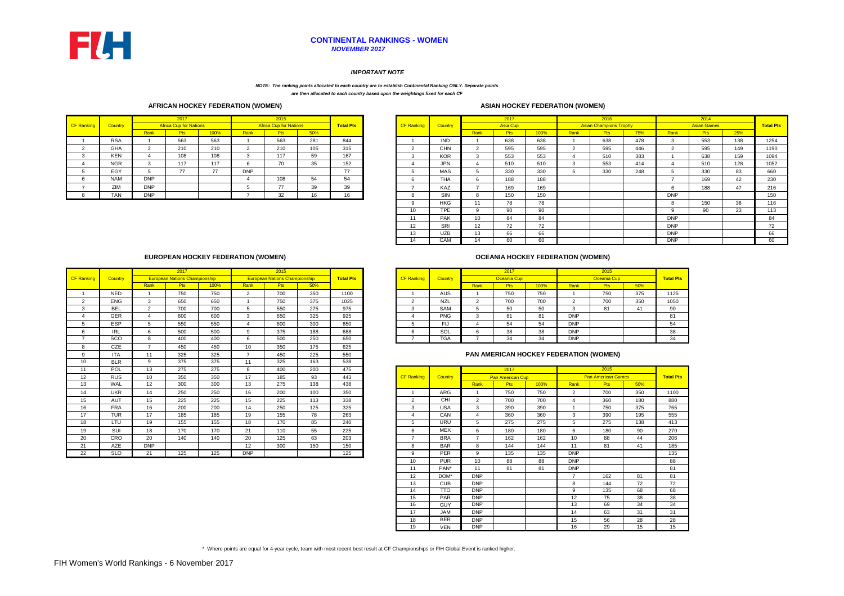

## *NOVEMBER 2017* **CONTINENTAL RANKINGS - WOMEN**

|                   |                |            | 2017                          |      |            | 2015                          |     |                  |                   |            |                  | 2017            |      |      | 2016                          |     |            | 2014               |     |                  |
|-------------------|----------------|------------|-------------------------------|------|------------|-------------------------------|-----|------------------|-------------------|------------|------------------|-----------------|------|------|-------------------------------|-----|------------|--------------------|-----|------------------|
| <b>CF Ranking</b> | <b>Country</b> |            | <b>Africa Cup for Nations</b> |      |            | <b>Africa Cup for Nations</b> |     | <b>Total Pts</b> | <b>CF Ranking</b> | Country    |                  | <b>Asia Cup</b> |      |      | <b>Asian Champions Trophy</b> |     |            | <b>Asian Games</b> |     | <b>Total Pts</b> |
|                   |                | Rank       | <b>Pts</b>                    | 100% | Rank       | <b>Pts</b>                    | 50% |                  |                   |            | Rank             | Pts             | 100% | Rank | <b>Pts</b>                    | 75% | Rank       | <b>Pts</b>         | 25% |                  |
|                   | <b>RSA</b>     |            | 563                           | 563  |            | 563                           | 281 | 844              |                   | <b>IND</b> |                  | 638             | 638  |      | 638                           | 478 |            | 553                | 138 | 1254             |
|                   | GHA            |            | 210                           | 210  |            | 210                           | 105 | 315              |                   | <b>CHN</b> |                  | 595             | 595  |      | 595                           | 446 |            | 595                | 149 | 1190             |
|                   | KEN            |            | 108                           | 108  |            | 117                           | 59  | 167              | 3                 | <b>KOR</b> | 3                | 553             | 553  |      | 510                           | 383 |            | 638                | 159 | 1094             |
|                   | <b>NGR</b>     |            | 117                           | 117  |            | 70                            | 35  | 152              |                   | JPN        | 4                | 510             | 510  |      | 553                           | 414 |            | 510                | 128 | 1052             |
|                   | EGY            |            | 77                            | 77   | <b>DNP</b> |                               |     | 77               |                   | MAS        | .5               | 330             | 330  |      | 330                           | 248 |            | 330                | 83  | 660              |
|                   | <b>NAM</b>     | <b>DNP</b> |                               |      |            | 108                           | 54  | 54               | 6                 | THA        | 6                | 188             | 188  |      |                               |     |            | 169                | 42  | 230              |
|                   | ZIM            | <b>DNP</b> |                               |      |            | 77                            | 39  | 39               |                   | KAZ        | -                | 169             | 169  |      |                               |     |            | 188                | 47  | 216              |
|                   | <b>TAN</b>     | <b>DNP</b> |                               |      |            | 32                            | 16  | 16               | 8                 | SIN        | 8                | 150             | 150  |      |                               |     | <b>DNP</b> |                    |     | 150              |
|                   |                |            |                               |      |            |                               |     |                  |                   | HKG        | 11               | 78              | 78   |      |                               |     | റ          | 150                | 38  | 116              |
|                   |                |            |                               |      |            |                               |     |                  |                   | <b>TPE</b> | 9                | 90              | 90   |      |                               |     |            | 90                 | 23  | 113              |
|                   |                |            |                               |      |            |                               |     |                  | 11                | <b>PAK</b> | 10 <sup>°</sup>  | 84              | 84   |      |                               |     | <b>DNP</b> |                    |     | 84               |
|                   |                |            |                               |      |            |                               |     |                  | 12                | SRI        | 12 <sup>12</sup> | 72              | 72   |      |                               |     | <b>DNP</b> |                    |     | 72               |
|                   |                |            |                               |      |            |                               |     |                  | 13                | <b>UZB</b> | 13               | 66              | 66   |      |                               |     | <b>DNP</b> |                    |     | 66               |
|                   |                |            |                               |      |            |                               |     |                  | 14                | <b>CAM</b> | 14               | 60              | 60   |      |                               |     | <b>DNP</b> |                    |     | 60               |

|      | 2017                                 |      |      | 2015                                 |     |                  |                   |                |      | 2017        |      |            | 2015        |     |                  |
|------|--------------------------------------|------|------|--------------------------------------|-----|------------------|-------------------|----------------|------|-------------|------|------------|-------------|-----|------------------|
|      | <b>European Nations Championship</b> |      |      | <b>European Nations Championship</b> |     | <b>Total Pts</b> | <b>CF Ranking</b> | <b>Country</b> |      | Oceania Cup |      |            | Oceania Cup |     | <b>Total Pts</b> |
| Rank | D+n<br>гιэ                           | 100% | Rank | <b>Pts</b>                           | 50% |                  |                   |                | Rank | Pts         | 100% | Rank       | Pts         | 50% |                  |
|      | 750                                  | 750  |      | 700                                  | 350 | 1100             |                   | <b>AUS</b>     |      | 750         | 750  |            | 750         | 375 | 1125             |
|      | 650                                  | 650  |      | 750                                  | 375 | 1025             |                   | <b>NZL</b>     |      | 700         | 700  |            | 700         | 350 | 1050             |
|      | 700                                  | 700  |      | 550                                  | 275 | 975              |                   | <b>SAM</b>     |      | 50          | 50   |            | 81          | -41 | 90               |
|      | 600                                  | 600  | w    | 650                                  | 325 | 925              |                   | <b>PNG</b>     |      | 81          | 81   | <b>DNP</b> |             |     | 81               |
|      | 550                                  | 550  |      | 600                                  | 300 | 850              |                   | - IJ           |      | 54          | 54   | <b>DNP</b> |             |     | 54               |
| 6    | 500                                  | 500  |      | 375                                  | 188 | 688              |                   | SOL            |      | 38          | 38   | <b>DNP</b> |             |     | 38               |
| 8    | 400                                  | 400  |      | 500                                  | 250 | 650              |                   | <b>TGA</b>     |      | 34          | 34   | <b>DNP</b> |             |     | 34               |

|                      |            |                 | 2017                                 |      |                | 2015                                 |     |                  |                   |                                        |                | 2017                    |      |                | 2015                      |            |
|----------------------|------------|-----------------|--------------------------------------|------|----------------|--------------------------------------|-----|------------------|-------------------|----------------------------------------|----------------|-------------------------|------|----------------|---------------------------|------------|
| <b>CF</b> Ranking    | Country    |                 | <b>European Nations Championship</b> |      |                | <b>European Nations Championship</b> |     | <b>Total Pts</b> | <b>CF Ranking</b> | Country                                |                | <b>Oceania Cup</b>      |      |                | Oceania Cup               |            |
|                      |            | Rank            | <b>Pts</b>                           | 100% | Rank           | <b>Pts</b>                           | 50% |                  |                   |                                        | Rank           | <b>Pts</b>              | 100% | Rank           | <b>Pts</b>                | 50%        |
|                      | <b>NED</b> |                 | 750                                  | 750  | $\overline{2}$ | 700                                  | 350 | 1100             |                   | <b>AUS</b>                             |                | 750                     | 750  |                | 750                       | 375        |
| 2                    | <b>ENG</b> | 3               | 650                                  | 650  |                | 750                                  | 375 | 1025             | 2                 | <b>NZL</b>                             | 2              | 700                     | 700  | $\overline{2}$ | 700                       | 350        |
| 3                    | <b>BEL</b> | 2               | 700                                  | 700  | 5              | 550                                  | 275 | 975              | 3                 | SAM                                    | 5              | 50                      | 50   | 3              | 81                        | 41         |
|                      | <b>GER</b> | Δ               | 600                                  | 600  | 3              | 650                                  | 325 | 925              | 4                 | <b>PNG</b>                             | 3              | 81                      | 81   | <b>DNP</b>     |                           |            |
| 5                    | <b>ESP</b> | 5               | 550                                  | 550  | $\overline{4}$ | 600                                  | 300 | 850              | 5                 | <b>FIJ</b>                             | $\overline{4}$ | 54                      | 54   | <b>DNP</b>     |                           |            |
| 6                    | <b>IRL</b> | 6               | 500                                  | 500  | 9              | 375                                  | 188 | 688              | 6                 | SOL                                    | 6              | 38                      | 38   | <b>DNP</b>     |                           |            |
| $\overline{ }$       | SCO        | 8               | 400                                  | 400  | 6              | 500                                  | 250 | 650              | <u>—</u>          | <b>TGA</b>                             | $\overline{7}$ | 34                      | 34   | <b>DNP</b>     |                           |            |
| 8                    | <b>CZE</b> | $\overline{7}$  | 450                                  | 450  | 10             | 350                                  | 175 | 625              |                   |                                        |                |                         |      |                |                           |            |
| 9                    | <b>ITA</b> | 11              | 325                                  | 325  | $\overline{7}$ | 450                                  | 225 | 550              |                   | PAN AMERICAN HOCKEY FEDERATION (WOMEN) |                |                         |      |                |                           |            |
| 10 <sup>1</sup>      | <b>BLR</b> | 9               | 375                                  | 375  | 11             | 325                                  | 163 | 538              |                   |                                        |                |                         |      |                |                           |            |
| 11                   | POL        | 13              | 275                                  | 275  | 8              | 400                                  | 200 | 475              |                   |                                        |                | 2017                    |      |                | 2015                      |            |
| 12                   | <b>RUS</b> | 10 <sup>1</sup> |                                      |      |                |                                      |     |                  |                   |                                        |                |                         |      |                |                           |            |
|                      |            |                 | 350                                  | 350  | 17             | 185                                  | 93  | 443              | <b>CF Ranking</b> | Country                                |                | <b>Pan American Cup</b> |      |                | <b>Pan American Games</b> |            |
|                      | WAL        | 12              | 300                                  | 300  | 13             | 275                                  | 138 | 438              |                   |                                        | Rank           | Pts                     | 100% | Rank           | <b>Pts</b>                |            |
|                      | <b>UKR</b> | 14              | 250                                  | 250  | 16             | 200                                  | 100 | 350              |                   | ARG                                    |                | 750                     | 750  | $\overline{2}$ | 700                       | 50%<br>350 |
|                      | <b>AUT</b> | 15              | 225                                  | 225  | 15             | 225                                  | 113 | 338              | 2                 | CHI                                    | $\overline{2}$ | 700                     | 700  |                | 360                       | 180        |
| 13<br>14<br>15<br>16 | <b>FRA</b> | 16              | 200                                  | 200  | 14             | 250                                  | 125 | 325              | 3                 | <b>USA</b>                             | 3              | 390                     | 390  |                | 750                       | 375        |
| 17                   | <b>TUR</b> | 17              | 185                                  | 185  | 19             | 155                                  | 78  | 263              |                   | CAN                                    | 4              | 360                     | 360  | 3              | 390                       | 195        |
| 18                   | LTU        | 19              | 155                                  | 155  | 18             | 170                                  | 85  | 240              | 5                 | <b>URU</b>                             | 5              | 275                     | 275  | 5              | 275                       | 138        |
| 19                   | SUI        | 18              | 170                                  | 170  | 21             | 110                                  | 55  | 225              | 6                 | <b>MEX</b>                             | 6              | 180                     | 180  | 6              | 180                       | 90         |
| 20                   | CRO        | 20              | 140                                  | 140  | 20             | 125                                  | 63  | 203              | $\overline{z}$    | <b>BRA</b>                             | $\overline{7}$ | 162                     | 162  | 10             | 88                        | 44         |
| 21                   | <b>AZE</b> | <b>DNP</b>      |                                      |      | 12             | 300                                  | 150 | 150              | 8                 | <b>BAR</b>                             | 8              | 144                     | 144  | 11             | 81                        | 41         |

|                   |                |                | 2017                    |      |            | 2015                      |     |                  |
|-------------------|----------------|----------------|-------------------------|------|------------|---------------------------|-----|------------------|
| <b>CF Ranking</b> | <b>Country</b> |                | <b>Pan American Cup</b> |      |            | <b>Pan American Games</b> |     | <b>Total Pts</b> |
|                   |                | Rank           | Pts                     | 100% | Rank       | <b>Pts</b>                | 50% |                  |
| 1                 | <b>ARG</b>     | 1              | 750                     | 750  | 2          | 700                       | 350 | 1100             |
| $\overline{2}$    | <b>CHI</b>     | 2              | 700                     | 700  | 4          | 360                       | 180 | 880              |
| 3                 | <b>USA</b>     | 3              | 390                     | 390  | 1          | 750                       | 375 | 765              |
| 4                 | CAN            | 4              | 360                     | 360  | 3          | 390                       | 195 | 555              |
| 5                 | <b>URU</b>     | 5              | 275                     | 275  | 5          | 275                       | 138 | 413              |
| 6                 | MEX            | 6              | 180                     | 180  | 6          | 180                       | 90  | 270              |
| 7                 | <b>BRA</b>     | $\overline{7}$ | 162                     | 162  | 10         | 88                        | 44  | 206              |
| 8                 | <b>BAR</b>     | 8              | 144                     | 144  | 11         | 81                        | 41  | 185              |
| 9                 | <b>PER</b>     | 9              | 135                     | 135  | <b>DNP</b> |                           |     | 135              |
| 10                | <b>PUR</b>     | 10             | 88                      | 88   | <b>DNP</b> |                           |     | 88               |
| 11                | PAN*           | 11             | 81                      | 81   | <b>DNP</b> |                           |     | 81               |
| 12                | DOM*           | <b>DNP</b>     |                         |      | 7          | 162                       | 81  | 81               |
| 13                | <b>CUB</b>     | <b>DNP</b>     |                         |      | 8          | 144                       | 72  | 72               |
| 14                | <b>TTO</b>     | <b>DNP</b>     |                         |      | 9          | 135                       | 68  | 68               |
| 15                | <b>PAR</b>     | <b>DNP</b>     |                         |      | 12         | 75                        | 38  | 38               |
| 16                | <b>GUY</b>     | <b>DNP</b>     |                         |      | 13         | 69                        | 34  | 34               |
| 17                | <b>MAL</b>     | <b>DNP</b>     |                         |      | 14         | 63                        | 31  | 31               |
| 18                | <b>BER</b>     | <b>DNP</b>     |                         |      | 15         | 56                        | 28  | 28               |
| 19                | <b>VEN</b>     | DNP            |                         |      | 16         | 29                        | 15  | 15               |

\* Where points are equal for 4-year cycle, team with most recent best result at CF Championships or FIH Global Event is ranked higher.

# **PAN AMERICAN HOCKEY FEDERATION (WOMEN)**

# **EUROPEAN HOCKEY FEDERATION (WOMEN)**

**AFRICAN HOCKEY FEDERATION (WOMEN)**

# **OCEANIA HOCKEY FEDERATION (WOMEN)**

## **ASIAN HOCKEY FEDERATION (WOMEN)**

|                   |            |             | 2017                          |      |            | 2015                          |     |                  |                   |            |
|-------------------|------------|-------------|-------------------------------|------|------------|-------------------------------|-----|------------------|-------------------|------------|
| <b>CF Ranking</b> | Country    |             | <b>Africa Cup for Nations</b> |      |            | <b>Africa Cup for Nations</b> |     | <b>Total Pts</b> | <b>CF Ranking</b> | Country    |
|                   |            | <b>Rank</b> | <b>Pts</b>                    | 100% | Rank       | <b>Pts</b>                    | 50% |                  |                   |            |
|                   | <b>RSA</b> |             | 563                           | 563  |            | 563                           | 281 | 844              |                   | <b>IND</b> |
| 2                 | <b>GHA</b> | ົ           | 210                           | 210  | ົ          | 210                           | 105 | 315              | ົ                 | <b>CHN</b> |
| 3                 | <b>KEN</b> |             | 108                           | 108  | 3          | 117                           | 59  | 167              | 3                 | <b>KOR</b> |
| 4                 | <b>NGR</b> | 3           | 117                           | 117  | 6          | 70                            | 35  | 152              |                   | <b>JPN</b> |
| 5                 | EGY        | 5           | 77                            | 77   | <b>DNP</b> |                               |     | 77               | 5                 | <b>MAS</b> |
| 6                 | <b>NAM</b> | <b>DNP</b>  |                               |      | 4          | 108                           | 54  | 54               | 6                 | <b>THA</b> |
|                   | ZIM        | <b>DNP</b>  |                               |      | 5          | 77                            | 39  | 39               |                   | KAZ        |
| 8                 | TAN        | DNP         |                               |      |            | 32                            | 16  | 16               | 8                 | <b>SIN</b> |

### *IMPORTANT NOTE*

### *NOTE: The ranking points allocated to each country are to establish Continental Ranking ONLY. Separate points are then allocated to each country based upon the weightings fixed for each CF*